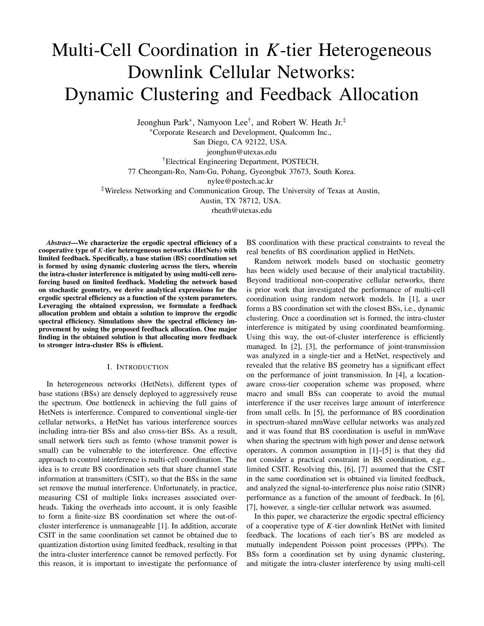# Multi-Cell Coordination in *K*-tier Heterogeneous Downlink Cellular Networks: Dynamic Clustering and Feedback Allocation

Jeonghun Park∗, Namyoon Lee†, and Robert W. Heath Jr. ‡

∗Corporate Research and Development, Qualcomm Inc.,

San Diego, CA 92122, USA.

jeonghun@utexas.edu

†Electrical Engineering Department, POSTECH,

77 Cheongam-Ro, Nam-Gu, Pohang, Gyeongbuk 37673, South Korea.

nylee@postech.ac.kr

‡Wireless Networking and Communication Group, The University of Texas at Austin,

Austin, TX 78712, USA.

rheath@utexas.edu

*Abstract*—We characterize the ergodic spectral efficiency of a cooperative type of *K*-tier heterogeneous networks (HetNets) with limited feedback. Specifically, a base station (BS) coordination set is formed by using dynamic clustering across the tiers, wherein the intra-cluster interference is mitigated by using multi-cell zeroforcing based on limited feedback. Modeling the network based on stochastic geometry, we derive analytical expressions for the ergodic spectral efficiency as a function of the system parameters. Leveraging the obtained expression, we formulate a feedback allocation problem and obtain a solution to improve the ergodic spectral efficiency. Simulations show the spectral efficiency improvement by using the proposed feedback allocation. One major finding in the obtained solution is that allocating more feedback to stronger intra-cluster BSs is efficient.

#### I. INTRODUCTION

In heterogeneous networks (HetNets), different types of base stations (BSs) are densely deployed to aggressively reuse the spectrum. One bottleneck in achieving the full gains of HetNets is interference. Compared to conventional single-tier cellular networks, a HetNet has various interference sources including intra-tier BSs and also cross-tier BSs. As a result, small network tiers such as femto (whose transmit power is small) can be vulnerable to the interference. One effective approach to control interference is multi-cell coordination. The idea is to create BS coordination sets that share channel state information at transmitters (CSIT), so that the BSs in the same set remove the mutual interference. Unfortunately, in practice, measuring CSI of multiple links increases associated overheads. Taking the overheads into account, it is only feasible to form a finite-size BS coordination set where the out-ofcluster interference is unmanageable [1]. In addition, accurate CSIT in the same coordination set cannot be obtained due to quantization distortion using limited feedback, resulting in that the intra-cluster interference cannot be removed perfectly. For this reason, it is important to investigate the performance of

BS coordination with these practical constraints to reveal the real benefits of BS coordination applied in HetNets.

Random network models based on stochastic geometry has been widely used because of their analytical tractability. Beyond traditional non-cooperative cellular networks, there is prior work that investigated the performance of multi-cell coordination using random network models. In [1], a user forms a BS coordination set with the closest BSs, i.e., dynamic clustering. Once a coordination set is formed, the intra-cluster interference is mitigated by using coordinated beamforming. Using this way, the out-of-cluster interference is efficiently managed. In [2], [3], the performance of joint-transmission was analyzed in a single-tier and a HetNet, respectively and revealed that the relative BS geometry has a significant effect on the performance of joint transmission. In [4], a locationaware cross-tier cooperation scheme was proposed, where macro and small BSs can cooperate to avoid the mutual interference if the user receives large amount of interference from small cells. In [5], the performance of BS coordination in spectrum-shared mmWave cellular networks was analyzed and it was found that BS coordination is useful in mmWave when sharing the spectrum with high power and dense network operators. A common assumption in [1]–[5] is that they did not consider a practical constraint in BS coordination, e.g., limited CSIT. Resolving this, [6], [7] assumed that the CSIT in the same coordination set is obtained via limited feedback, and analyzed the signal-to-interference plus noise ratio (SINR) performance as a function of the amount of feedback. In [6], [7], however, a single-tier cellular network was assumed.

In this paper, we characterize the ergodic spectral efficiency of a cooperative type of *K*-tier downlink HetNet with limited feedback. The locations of each tier's BS are modeled as mutually independent Poisson point processes (PPPs). The BSs form a coordination set by using dynamic clustering, and mitigate the intra-cluster interference by using multi-cell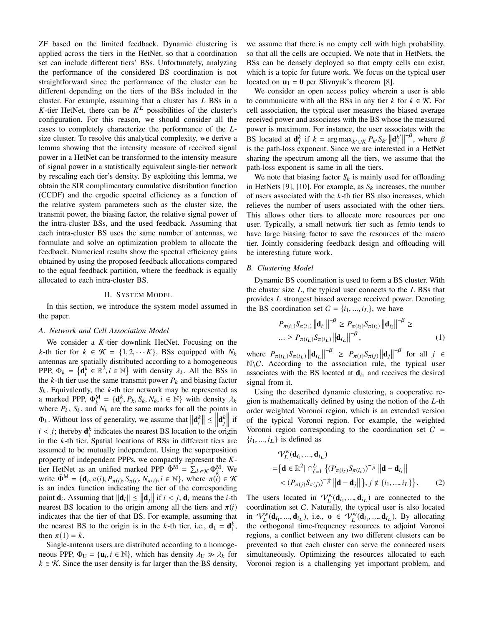ZF based on the limited feedback. Dynamic clustering is applied across the tiers in the HetNet, so that a coordination set can include different tiers' BSs. Unfortunately, analyzing the performance of the considered BS coordination is not straightforward since the performance of the cluster can be different depending on the tiers of the BSs included in the cluster. For example, assuming that a cluster has *L* BSs in a *K*-tier HetNet, there can be  $K^L$  possibilities of the cluster's configuration. For this reason, we should consider all the cases to completely characterize the performance of the *L*size cluster. To resolve this analytical complexity, we derive a lemma showing that the intensity measure of received signal power in a HetNet can be transformed to the intensity measure of signal power in a statistically equivalent single-tier network by rescaling each tier's density. By exploiting this lemma, we obtain the SIR complimentary cumulative distribution function (CCDF) and the ergodic spectral efficiency as a function of the relative system parameters such as the cluster size, the transmit power, the biasing factor, the relative signal power of the intra-cluster BSs, and the used feedback. Assuming that each intra-cluster BS uses the same number of antennas, we formulate and solve an optimization problem to allocate the feedback. Numerical results show the spectral efficiency gains obtained by using the proposed feedback allocations compared to the equal feedback partition, where the feedback is equally allocated to each intra-cluster BS.

### II. SYSTEM MODEL

In this section, we introduce the system model assumed in the paper.

## *A. Network and Cell Association Model*

We consider a *K*-tier downlink HetNet. Focusing on the *k*-th tier for  $k \in \mathcal{K} = \{1, 2, \dots K\}$ , BSs equipped with  $N_k$ antennas are spatially distributed according to a homogeneous PPP,  $\Phi_k = {\mathbf{a}_i^k \in \mathbb{R}^2, i \in \mathbb{N}}$  with density  $\lambda_k$ . All the BSs in the  $k$ -th tier use the same transmit power  $P_k$  and biasing factor  $S_k$ . Equivalently, the  $k$ -th tier network may be represented as a marked PPP,  $\Phi_k^M = {\mathbf{d}_i^k, P_k, S_k, N_k, i \in \mathbb{N}}$  with density  $\lambda_k$ where  $P_k$ ,  $S_k$ , and  $N_k$  are the same marks for all the points in  $\Phi_k$ . Without loss of generality, we assume that  $\left\|\mathbf{d}_i^k\right\| \le \left\|\mathbf{d}_j^k\right\|$  if  $i < j$ ; thereby  $\mathbf{d}_{1}^{k}$  indicates the nearest BS location to the origin in the *k*-th tier. Spatial locations of BSs in different tiers are assumed to be mutually independent. Using the superposition property of independent PPPs, we compactly represent the *K*tier HetNet as an unified marked PPP  $\tilde{\Phi}^M = \sum_{k \in \mathcal{K}} \Phi_k^M$ . We write  $\tilde{\Phi}^M = {\mathbf{d}_i, \pi(i), P_{\pi(i)}, S_{\pi(i)}, N_{\pi(i)}, i \in \mathbb{N}}, \text{ where } \pi(i) \in \mathcal{K}$ is an index function indicating the tier of the corresponding point **d**<sub>i</sub>. Assuming that  $\|\mathbf{d}_i\| \le \|\mathbf{d}_j\|$  if  $i < j$ , **d**<sub>i</sub> means the *i*-th nearest BS location to the origin among all the tiers and  $\pi(i)$ indicates that the tier of that BS. For example, assuming that the nearest BS to the origin is in the *k*-th tier, i.e.,  $\mathbf{d}_1 = \mathbf{d}_1^k$ , then  $\pi(1) = k$ .

Single-antenna users are distributed according to a homogeneous PPP,  $\Phi_{\text{U}} = {\mathbf{u}_i, i \in \mathbb{N}}$ , which has density  $\lambda_{\text{U}} \gg \lambda_k$  for  $k \in \mathcal{K}$ . Since the user density is far larger than the BS density, we assume that there is no empty cell with high probability, so that all the cells are occupied. We note that in HetNets, the BSs can be densely deployed so that empty cells can exist, which is a topic for future work. We focus on the typical user located on  $\mathbf{u}_1 = \mathbf{0}$  per Slivnyak's theorem [8].

We consider an open access policy wherein a user is able to communicate with all the BSs in any tier  $k$  for  $k \in \mathcal{K}$ . For cell association, the typical user measures the biased average received power and associates with the BS whose the measured power is maximum. For instance, the user associates with the BS located at  $\mathbf{d}_1^k$  if  $k = \arg \max_{k' \in \mathcal{K}} P_{k'} S_{k'} ||\mathbf{d}_1^k||^{2\beta}$ , where  $\beta$ is the path-loss exponent. Since we are interested in a HetNet sharing the spectrum among all the tiers, we assume that the path-loss exponent is same in all the tiers.

We note that biasing factor  $S_k$  is mainly used for offloading in HetNets [9], [10]. For example, as  $S_k$  increases, the number of users associated with the *k*-th tier BS also increases, which relieves the number of users associated with the other tiers. This allows other tiers to allocate more resources per one user. Typically, a small network tier such as femto tends to have large biasing factor to save the resources of the macro tier. Jointly considering feedback design and offloading will be interesting future work.

## *B. Clustering Model*

Dynamic BS coordination is used to form a BS cluster. With the cluster size *L*, the typical user connects to the *L* BSs that provides *L* strongest biased average received power. Denoting the BS coordination set  $C = \{i_1, ..., i_L\}$ , we have

$$
P_{\pi(i_1)} S_{\pi(i_1)} ||\mathbf{d}_{i_1}||^{-\beta} \ge P_{\pi(i_2)} S_{\pi(i_2)} ||\mathbf{d}_{i_2}||^{-\beta} \ge
$$
  
...  $\ge P_{\pi(i_L)} S_{\pi(i_L)} ||\mathbf{d}_{i_L}||^{-\beta}$ , (1)

where  $P_{\pi(i_L)} S_{\pi(i_L)} ||\mathbf{d}_{i_L}||^{-\beta} \geq P_{\pi(j)} S_{\pi(j)} ||\mathbf{d}_j||^{-\beta}$  for all  $j \in$  $\mathbb{N}\backslash\mathcal{C}$ . According to the association rule, the typical user associates with the BS located at  $\mathbf{d}_{i_1}$  and receives the desired signal from it.

Using the described dynamic clustering, a cooperative region is mathematically defined by using the notion of the *L*-th order weighted Voronoi region, which is an extended version of the typical Voronoi region. For example, the weighted Voronoi region corresponding to the coordination set  $C =$  $\{i_1, ..., i_L\}$  is defined as

$$
\mathcal{V}_{L}^{\text{w}}(\mathbf{d}_{i_{1}},...,\mathbf{d}_{i_{L}})
$$
\n
$$
= \{ \mathbf{d} \in \mathbb{R}^{2} | \cap_{\ell=1}^{L} \{ (P_{\pi(i_{\ell})} S_{\pi(i_{\ell})})^{-\frac{1}{\beta}} \|\mathbf{d} - \mathbf{d}_{i_{\ell}} \|
$$
\n
$$
< (P_{\pi(j)} S_{\pi(j)})^{-\frac{1}{\beta}} \|\mathbf{d} - \mathbf{d}_{j} \| \}, j \notin \{i_{1},...,i_{L}\} \}. \tag{2}
$$

The users located in  $\mathcal{V}_L^{\text{w}}(\mathbf{d}_{i_1}, ..., \mathbf{d}_{i_L})$  are connected to the coordination set C. Naturally, the typical user is also located in  $\mathcal{V}_L^{\text{w}}(\mathbf{d}_{i_1}, ..., \mathbf{d}_{i_L})$ , i.e.,  $\mathbf{o} \in \mathcal{V}_L^{\text{w}}(\mathbf{d}_{i_1}, ..., \mathbf{d}_{i_L})$ . By allocating the orthogonal time-frequency resources to adjoint Voronoi regions, a conflict between any two different clusters can be prevented so that each cluster can serve the connected users simultaneously. Optimizing the resources allocated to each Voronoi region is a challenging yet important problem, and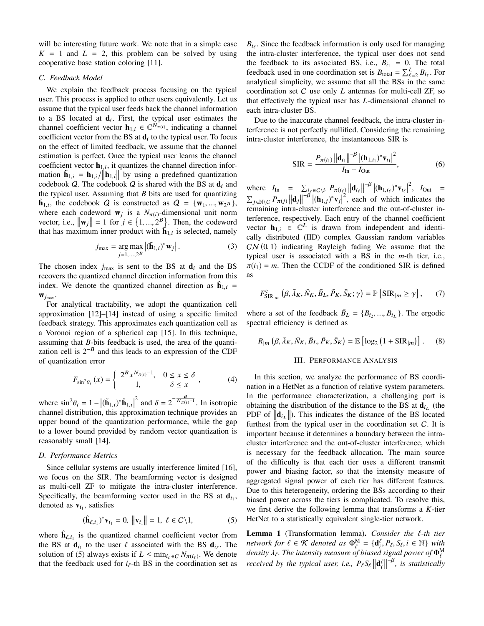will be interesting future work. We note that in a simple case  $K = 1$  and  $L = 2$ , this problem can be solved by using cooperative base station coloring [11].

# *C. Feedback Model*

We explain the feedback process focusing on the typical user. This process is applied to other users equivalently. Let us assume that the typical user feeds back the channel information to a BS located at  $\mathbf{d}_i$ . First, the typical user estimates the channel coefficient vector  $\mathbf{h}_{1,i} \in \mathbb{C}^{N_{\pi(i)}}$ , indicating a channel coefficient vector from the BS at  $\mathbf{d}_i$  to the typical user. To focus on the effect of limited feedback, we assume that the channel estimation is perfect. Once the typical user learns the channel coefficient vector  $\mathbf{h}_{1,i}$ , it quantizes the channel direction information  $\mathbf{\tilde{h}}_{1,i} = \mathbf{h}_{1,i} / ||\mathbf{h}_{1,i}||$  by using a predefined quantization codebook  $Q$ . The codebook  $Q$  is shared with the BS at  $\mathbf{d}_i$  and the typical user. Assuming that *B* bits are used for quantizing  $\tilde{\mathbf{h}}_{1,i}$ , the codebook Q is constructed as  $Q = \{\mathbf{w}_1, ..., \mathbf{w}_{2^B}\},\$ where each codeword  $\mathbf{w}_i$  is a  $N_{\pi(i)}$ -dimensional unit norm vector, i.e.,  $\|\mathbf{w}_j\| = 1$  for  $j \in \{1, ..., 2^B\}$ . Then, the codeword that has maximum inner product with  $\mathbf{h}_{1,i}$  is selected, namely

$$
j_{\max} = \underset{j=1,\dots,2^B}{\arg \max} \left| (\tilde{\mathbf{h}}_{1,i})^* \mathbf{w}_j \right|.
$$
 (3)

The chosen index  $j_{\text{max}}$  is sent to the BS at  $\mathbf{d}_i$  and the BS recovers the quantized channel direction information from this index. We denote the quantized channel direction as  $\hat{\mathbf{h}}_{1,i}$  =  $\mathbf{w}_{j_{\text{max}}}$ .

For analytical tractability, we adopt the quantization cell approximation [12]–[14] instead of using a specific limited feedback strategy. This approximates each quantization cell as a Voronoi region of a spherical cap [15]. In this technique, assuming that *B*-bits feedback is used, the area of the quantization cell is  $2^{-B}$  and this leads to an expression of the CDF of quantization error

$$
F_{\sin^2\theta_i}(x) = \begin{cases} 2^B x^{N_{\pi(i)} - 1}, & 0 \le x \le \delta \\ 1, & \delta \le x \end{cases}, \tag{4}
$$

where  $\sin^2 \theta_i = 1 - \left| (\tilde{\mathbf{h}}_{1,i})^* \hat{\mathbf{h}}_{1,i} \right|^2$  and  $\delta = 2^{-\frac{B}{N\pi(i)^{-1}}}$ . In isotropic channel distribution, this approximation technique provides an upper bound of the quantization performance, while the gap to a lower bound provided by random vector quantization is reasonably small [14].

## *D. Performance Metrics*

Since cellular systems are usually interference limited [16], we focus on the SIR. The beamforming vector is designed as multi-cell ZF to mitigate the intra-cluster interference. Specifically, the beamforming vector used in the BS at  $\mathbf{d}_{i_1}$ , denoted as  $v_{i_1}$ , satisfies

$$
(\hat{\mathbf{h}}_{\ell,i_1})^* \mathbf{v}_{i_1} = 0, ||\mathbf{v}_{i_1}|| = 1, \ \ell \in C \setminus 1,
$$
 (5)

where  $\mathbf{h}_{\ell,i_1}$  is the quantized channel coefficient vector from the BS at  $\mathbf{d}_{i_1}$  to the user  $\ell$  associated with the BS  $\mathbf{d}_{i_\ell}$ . The solution of (5) always exists if  $L \leq \min_{i \in C} N_{\pi(i_\ell)}$ . We denote that the feedback used for  $i_{\ell}$ -th BS in the coordination set as

 $B_{i}$ . Since the feedback information is only used for managing the intra-cluster interference, the typical user does not send the feedback to its associated BS, i.e.,  $B_{i_1} = 0$ . The total feedback used in one coordination set is  $B_{\text{total}} = \sum_{\ell=2}^{L} B_{i_{\ell}}$ . For analytical simplicity, we assume that all the BSs in the same coordination set C use only *L* antennas for multi-cell ZF, so that effectively the typical user has *L*-dimensional channel to each intra-cluster BS.

Due to the inaccurate channel feedback, the intra-cluster interference is not perfectly nullified. Considering the remaining intra-cluster interference, the instantaneous SIR is

$$
SIR = \frac{P_{\pi(i_1)} ||\mathbf{d}_{i_1}||^{-\beta} |(\mathbf{h}_{1,i_1})^* \mathbf{v}_{i_1}|^2}{I_{\text{In}} + I_{\text{Out}}},
$$
(6)

where  $I_{\text{In}} = \sum_{i \in \mathcal{C}} \sum_{i} P_{\pi(i_{\ell})} ||\mathbf{d}_{i_{\ell}}||^{-\beta} |(\mathbf{h}_{1,i_{\ell}})^* \mathbf{v}_{i_{\ell}}|^2$ ,  $I_{\text{Out}} =$  $\sum_{j \in \mathbb{N} \setminus C} P_{\pi(j)} ||\mathbf{d}_j||^{-\beta} |(\mathbf{h}_{1,j})^* \mathbf{v}_j|^2$ , each of which indicates the remaining intra-cluster interference and the out-of-cluster interference, respectively. Each entry of the channel coefficient vector  $\mathbf{h}_{1,i} \in \mathbb{C}^{L}$  is drawn from independent and identically distributed (IID) complex Gaussian random variables  $CN(0, 1)$  indicating Rayleigh fading We assume that the typical user is associated with a BS in the *m*-th tier, i.e.,  $\pi(i_1) = m$ . Then the CCDF of the conditioned SIR is defined as

$$
F_{\text{SIR}_{|m}}^{\text{c}}\left(\beta,\bar{\lambda}_{K},\bar{N}_{K},\bar{B}_{L},\bar{P}_{K},\bar{S}_{K};\gamma\right)=\mathbb{P}\left[\text{SIR}_{|m}\geq\gamma\right],\qquad(7)
$$

where a set of the feedback  $\bar{B}_L = \{B_{i_2}, ..., B_{i_L}\}\$ . The ergodic spectral efficiency is defined as

$$
R_{|m} \left( \beta, \bar{\lambda}_K, \bar{N}_K, \bar{B}_L, \bar{P}_K, \bar{S}_K \right) = \mathbb{E} \left[ \log_2 \left( 1 + \text{SIR}_{|m} \right) \right]. \tag{8}
$$

#### III. PERFORMANCE ANALYSIS

In this section, we analyze the performance of BS coordination in a HetNet as a function of relative system parameters. In the performance characterization, a challenging part is obtaining the distribution of the distance to the BS at  $\mathbf{d}_{i}$  (the PDF of  $\|\mathbf{d}_{i}$ . This indicates the distance of the BS located furthest from the typical user in the coordination set  $C$ . It is important because it determines a boundary between the intracluster interference and the out-of-cluster interference, which is necessary for the feedback allocation. The main source of the difficulty is that each tier uses a different transmit power and biasing factor, so that the intensity measure of aggregated signal power of each tier has different features. Due to this heterogeneity, ordering the BSs according to their biased power across the tiers is complicated. To resolve this, we first derive the following lemma that transforms a *K*-tier HetNet to a statistically equivalent single-tier network.

Lemma 1 (Transformation lemma). *Consider the* ℓ*-th tier network for*  $\ell \in \mathcal{K}$  *denoted as*  $\Phi_{\ell}^M = {\{d_i^{\ell}, P_{\ell}, S_{\ell}, i \in \mathbb{N}\}}$  *with*  $d$ ensity  $\lambda_{\ell}.$  The intensity measure of biased signal power of  $\Phi_{\ell}^{\text{M}}$ *received* by the typical user, i.e.,  $P_{\ell}S_{\ell}$   $\left\|\mathbf{d}_{i}^{\ell}\right\|^{-\beta}$ , is statistically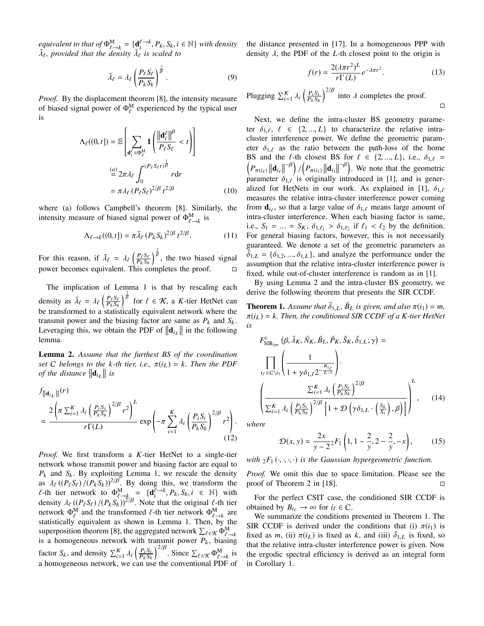*equivalent to that of*  $\Phi_{\ell \to k}^{\mathbf{M}} = {\mathbf{d}_{i}^{\ell \to k}, P_{k}, S_{k}, i \in \mathbb{N}}$  *with density*  $\tilde{\lambda}_{\ell}$ , provided that the density  $\tilde{\lambda}_{\ell}$  is scaled to

$$
\tilde{\lambda}_{\ell} = \lambda_{\ell} \left( \frac{P_{\ell} S_{\ell}}{P_k S_k} \right)^{\frac{2}{\beta}}.
$$
\n(9)

*Proof.* By the displacement theorem [8], the intensity measure of biased signal power of  $\Phi_{\ell}^{\text{M}}$  experienced by the typical user is

$$
\Lambda_{\ell}((0, t]) = \mathbb{E}\left[\sum_{\mathbf{d}_{i}^{\ell} \in \Phi_{\ell}^{M}} \mathbf{1}\left(\frac{\left\|\mathbf{d}_{i}^{\ell}\right\| \beta}{P_{\ell} S_{\ell}} < t\right)\right]
$$

$$
\stackrel{(a)}{=} 2\pi \lambda_{\ell} \int_{0}^{(P_{\ell} S_{\ell} t)^{\frac{1}{\beta}}} r \mathrm{d}r
$$

$$
= \pi \lambda_{\ell} (P_{\ell} S_{\ell})^{2/\beta} t^{2/\beta} \qquad (10)
$$

where (a) follows Campbell's theorem [8]. Similarly, the intensity measure of biased signal power of  $\Phi_{\ell \to k}^{\text{M}}$  is

$$
\Lambda_{\ell \to k}((0, t]) = \pi \tilde{\lambda}_{\ell} (P_k S_k)^{2/\beta} t^{2/\beta}.
$$
 (11)

For this reason, if  $\tilde{\lambda}_{\ell} = \lambda_{\ell} \left( \frac{P_{\ell} S_{\ell}}{P_{k} S_{k}} \right)$  $\int_{0}^{\frac{2}{\beta}}$ , the two biased signal power becomes equivalent. This completes the proof.  $□$ 

The implication of Lemma 1 is that by rescaling each density as  $\tilde{\lambda}_{\ell} = \lambda_{\ell} \left( \frac{P_{\ell} S_{\ell}}{P_{k} S_{k}} \right)$  $\int_{\beta}^{\frac{2}{\beta}}$  for  $\ell \in \mathcal{K}$ , a *K*-tier HetNet can be transformed to a statistically equivalent network where the transmit power and the biasing factor are same as  $P_k$  and  $S_k$ . Leveraging this, we obtain the PDF of  $\|\mathbf{d}_{i_L}\|$  in the following lemma.

Lemma 2. *Assume that the furthest BS of the coordination set C belongs to the k*-th *tier, i.e.,*  $\pi(i_L) = k$ *. Then the PDF of the distance*  $\|\mathbf{d}_{i_L}\|$  *is* 

$$
\int_{\|\mathbf{d}_{i_L}\|}(r) \frac{2\left(\pi \sum_{i=1}^K \lambda_i \left(\frac{P_i S_i}{P_k S_k}\right)^{2/\beta} r^2\right)^L}{r\Gamma(L)} \exp\left(-\pi \sum_{i=1}^K \lambda_i \left(\frac{P_i S_i}{P_k S_k}\right)^{2/\beta} r^2\right).
$$
\n(12)

*Proof.* We first transform a *K*-tier HetNet to a single-tier network whose transmit power and biasing factor are equal to  $P_k$  and  $S_k$ . By exploiting Lemma 1, we rescale the density as  $\lambda_{\ell} ((P_{\ell} S_{\ell})/(P_{k} S_{k}))^{2/\beta}$ . By doing this, we transform the  $\ell$ -th tier network to  $\Phi_{\ell \to k}^M = {\mathbf{d}_i^{\ell \to k}, P_k, S_k, i \in \mathbb{N}}$  with density  $\lambda_{\ell} ((P_{\ell} S_{\ell})/(P_{k} S_{k}))^{2/\beta}$ . Note that the original  $\ell$ -th tier network  $\Phi_{\ell}^{\text{M}}$  and the transformed  $\ell$ -th tier network  $\Phi_{\ell \to k}^{\text{M}}$  are statistically equivalent as shown in Lemma 1. Then, by the superposition theorem [8], the aggregated network  $\sum_{\ell \in \mathcal{K}} \Phi_{\ell \to k}^{\text{M}}$ is a homogeneous network with transmit power  $P_k$ , biasing factor  $S_k$ , and density  $\sum_{i=1}^{K} \lambda_i \left( \frac{P_i S_i}{P_k S_k} \right)$  $P_k S_k$  $\int_{0}^{2/\beta}$ . Since  $\sum_{\ell \in \mathcal{K}} \Phi_{\ell \to k}^{M}$  is a homogeneous network, we can use the conventional PDF of the distance presented in [17]. In a homogeneous PPP with density λ, the PDF of the *L*-th closest point to the origin is

$$
f(r) = \frac{2(\lambda \pi r^2)^L}{r \Gamma(L)} e^{-\lambda \pi r^2}.
$$
 (13)

□

Plugging  $\sum_{i=1}^{K} \lambda_i \left( \frac{P_i S_i}{P_k S_k} \right)$  $P_k S_k$  $\int_{0}^{2/\beta}$  into  $\lambda$  completes the proof.

Next, we define the intra-cluster BS geometry parameter  $\delta_{1,\ell}$ ,  $\ell \in \{2, ..., L\}$  to characterize the relative intracluster interference power. We define the geometric parameter  $\delta_{1,\ell}$  as the ratio between the path-loss of the home BS and the  $\ell$ -th closest BS for  $\ell \in \{2, ..., L\}$ , i.e.,  $\delta_{1,\ell} =$  $\left(P_{\pi(i_{\ell})}\left\|\mathbf{d}_{i_{\ell}}\right\|^{-\beta}\right)$ /  $\left(P_{\pi(i_1)}\|\mathbf{d}_{i_1}\|^{-\beta}\right)$ . We note that the geometric parameter  $\delta_{1,\ell}$  is originally introduced in [1], and is generalized for HetNets in our work. As explained in [1],  $\delta_{1,\ell}$ measures the relative intra-cluster interference power coming from  $\mathbf{d}_{i_\ell}$ , so that a large value of  $\delta_{1,\ell}$  means large amount of intra-cluster interference. When each biasing factor is same, i.e.,  $S_1 = \ldots = S_K$ ,  $\delta_{1,\ell_1} > \delta_{1,\ell_2}$  if  $\ell_1 < \ell_2$  by the definition. For general biasing factors, however, this is not necessarily guaranteed. We denote a set of the geometric parameters as  $\bar{\delta}_{1,L} = {\delta_{1,2}, ..., \delta_{1,L}}$ , and analyze the performance under the assumption that the relative intra-cluster interference power is fixed, while out-of-cluster interference is random as in [1].

By using Lemma 2 and the intra-cluster BS geometry, we derive the following theorem that presents the SIR CCDF.

**Theorem 1.** Assume that  $\bar{\delta}_{1,L}$ ,  $\bar{B}_L$  is given, and also  $\pi(i_1) = m$ ,  $\pi(i_L) = k$ . Then, the conditioned SIR CCDF of a K-tier HetNet *is*

$$
F_{\text{SIR}_{|m}}^{c} (\beta, \bar{\lambda}_{K}, \bar{N}_{K}, \bar{B}_{L}, \bar{P}_{K}, \bar{S}_{K}, \bar{\delta}_{1, L}; \gamma) =
$$
\n
$$
\prod_{i_{\ell} \in C \setminus i_{1}} \left( \frac{1}{1 + \gamma \delta_{1, \ell} 2^{-\frac{B_{i_{\ell}}}{L-1}}} \right) \cdot
$$
\n
$$
\left( \frac{\sum_{i=1}^{K} \lambda_{i} \left( \frac{P_{i} S_{i}}{P_{k} S_{k}} \right)^{2/\beta}}{\sum_{i=1}^{K} \lambda_{i} \left( \frac{P_{i} S_{i}}{P_{k} S_{k}} \right)^{2/\beta} \left[ 1 + \mathcal{D} \left( \gamma \delta_{1, L} \cdot \left( \frac{S_{k}}{S_{i}} \right), \beta \right) \right]} \right)^{L}, \quad (14)
$$

*where*

$$
\mathcal{D}(x, y) = \frac{2x}{y - 2} F_1 \left( 1, 1 - \frac{2}{y}, 2 - \frac{2}{y}, -x \right), \quad (15)
$$

*with*  ${}_2F_1(\cdot, \cdot, \cdot, \cdot)$  *is the Gaussian hypergeometric function.* 

*Proof.* We omit this due to space limitation. Please see the proof of Theorem 2 in [18].  $\Box$ 

For the perfect CSIT case, the conditioned SIR CCDF is obtained by  $B_{i} \to \infty$  for  $i_{\ell} \in C$ .

We summarize the conditions presented in Theorem 1. The SIR CCDF is derived under the conditions that (i)  $\pi(i_1)$  is fixed as *m*, (ii)  $\pi(i_L)$  is fixed as *k*, and (iii)  $\bar{\delta}_{1,L}$  is fixed, so that the relative intra-cluster interference power is given. Now the ergodic spectral efficiency is derived as an integral form in Corollary 1.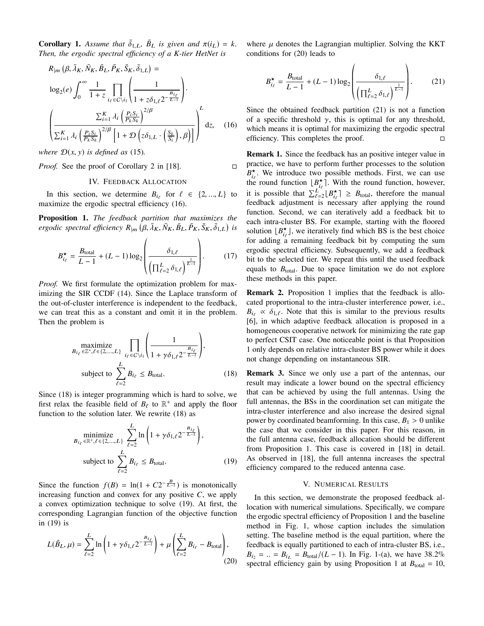**Corollary 1.** Assume that  $\bar{\delta}_{1,L}$ ,  $\bar{B}_L$  is given and  $\pi(i_L) = k$ . *Then, the ergodic spectral efficiency of a K-tier HetNet is*

$$
R_{|m} (\beta, \bar{\lambda}_K, \bar{N}_K, \bar{B}_L, \bar{P}_K, \bar{S}_K, \bar{\delta}_{1,L}) =
$$
  
\n
$$
\log_2(e) \int_0^\infty \frac{1}{1+z} \prod_{i_{\ell} \in C \setminus i_1} \left( \frac{1}{1+z \delta_{1,\ell} 2^{-\frac{B_{i_{\ell}}}{L-1}}} \right) \cdot
$$
  
\n
$$
\left( \frac{\sum_{i=1}^K \lambda_i \left( \frac{P_i S_i}{P_k S_k} \right)^{2/\beta}}{\sum_{i=1}^K \lambda_i \left( \frac{P_i S_i}{P_k S_k} \right)^{2/\beta} \left[ 1 + \mathcal{D} \left( z \delta_{1,L} \cdot \left( \frac{S_k}{S_i} \right), \beta \right) \right]} \right)^L dz, \quad (16)
$$

*where*  $\mathcal{D}(x, y)$  *is defined as* (15)*.* 

*Proof.* See the proof of Corollary 2 in [18]. □

# IV. FEEDBACK ALLOCATION

In this section, we determine  $B_{i\ell}$  for  $\ell \in \{2, ..., L\}$  to maximize the ergodic spectral efficiency (16).

Proposition 1. *The feedback partition that maximizes the*  $e$ *rgodic spectral efficiency*  $R_{|m}(\hat{\beta}, \bar{\lambda}_K, \bar{N}_K, \bar{B}_L, \bar{P}_K, \bar{S}_K, \bar{\delta}_{1,L})$  is

$$
B_{i_{\ell}}^{\star} = \frac{B_{\text{total}}}{L - 1} + (L - 1) \log_2 \left( \frac{\delta_{1,\ell}}{\left( \prod_{\ell=2}^{L} \delta_{1,\ell} \right)^{\frac{1}{L - 1}}} \right). \tag{17}
$$

*Proof.* We first formulate the optimization problem for maximizing the SIR CCDF (14). Since the Laplace transform of the out-of-cluster interference is independent to the feedback, we can treat this as a constant and omit it in the problem. Then the problem is

$$
\begin{aligned}\n\text{maximize} & \prod_{i_{\ell} \in \mathbb{Z}^+, \ell \in \{2, \dots, L\}} \prod_{i_{\ell} \in C \setminus i_{1}} \left( \frac{1}{1 + \gamma \delta_{1,\ell} 2^{-\frac{B_{i_{\ell}}}{L-1}}} \right), \\
\text{subject to} & \sum_{\ell=2}^{L} B_{i_{\ell}} \leq B_{\text{total}}.\n\end{aligned} \tag{18}
$$

Since (18) is integer programming which is hard to solve, we first relax the feasible field of  $B_{\ell}$  to  $\mathbb{R}^+$  and apply the floor function to the solution later. We rewrite (18) as

$$
\underset{B_{i_{\ell}} \in \mathbb{R}^+, \ell \in \{2,\dots,L\}}{\text{minimize}} \sum_{\ell=2}^{L} \ln\left(1 + \gamma \delta_{1,\ell} 2^{-\frac{B_{i_{\ell}}}{L-1}}\right),
$$
\n
$$
\text{subject to } \sum_{\ell=2}^{L} B_{i_{\ell}} \leq B_{\text{total}}.\tag{19}
$$

Since the function  $f(B) = \ln(1 + C2^{-\frac{B}{L-1}})$  is monotonically increasing function and convex for any positive  $C$ , we apply a convex optimization technique to solve (19). At first, the corresponding Lagrangian function of the objective function in (19) is

$$
L(\bar{B}_L, \mu) = \sum_{\ell=2}^{L} \ln \left( 1 + \gamma \delta_{1,\ell} 2^{-\frac{B_{i_\ell}}{L-1}} \right) + \mu \left( \sum_{\ell=2}^{L} B_{i_\ell} - B_{\text{total}} \right),\tag{20}
$$

where  $\mu$  denotes the Lagrangian multiplier. Solving the KKT conditions for (20) leads to

$$
B_{i_{\ell}}^{\star} = \frac{B_{\text{total}}}{L - 1} + (L - 1) \log_2 \left( \frac{\delta_{1,\ell}}{\left( \prod_{\ell=2}^{L} \delta_{1,\ell} \right)^{\frac{1}{L - 1}}} \right). \tag{21}
$$

Since the obtained feedback partition (21) is not a function of a specific threshold  $\gamma$ , this is optimal for any threshold, which means it is optimal for maximizing the ergodic spectral efficiency. This completes the proof.  $□$ 

Remark 1. Since the feedback has an positive integer value in practice, we have to perform further processes to the solution  $B_{i_\ell}^{\star}$ . We introduce two possible methods. First, we can use the round function  $\lfloor B_{i\ell}^{\star} \rceil$ . With the round function, however, it is possible that  $\sum_{\ell=2}^{L} [B_{i_{\ell}}^{\star}] \geq B_{\text{total}}$ , therefore the manual feedback adjustment is necessary after applying the round function. Second, we can iteratively add a feedback bit to each intra-cluster BS. For example, starting with the floored solution  $[B_{i_\ell}^{\star}]$ , we iteratively find which BS is the best choice for adding a remaining feedback bit by computing the sum ergodic spectral efficiency. Subsequently, we add a feedback bit to the selected tier. We repeat this until the used feedback equals to  $B_{\text{total}}$ . Due to space limitation we do not explore these methods in this paper.

Remark 2. Proposition 1 implies that the feedback is allocated proportional to the intra-cluster interference power, i.e.,  $B_{i\ell} \propto \delta_{1,\ell}$ . Note that this is similar to the previous results [6], in which adaptive feedback allocation is proposed in a homogeneous cooperative network for minimizing the rate gap to perfect CSIT case. One noticeable point is that Proposition 1 only depends on relative intra-cluster BS power while it does not change depending on instantaneous SIR.

Remark 3. Since we only use a part of the antennas, our result may indicate a lower bound on the spectral efficiency that can be achieved by using the full antennas. Using the full antennas, the BSs in the coordination set can mitigate the intra-cluster interference and also increase the desired signal power by coordinated beamforming. In this case,  $B_1 > 0$  unlike the case that we consider in this paper. For this reason, in the full antenna case, feedback allocation should be different from Proposition 1. This case is covered in [18] in detail. As observed in [18], the full antenna increases the spectral efficiency compared to the reduced antenna case.

#### V. NUMERICAL RESULTS

In this section, we demonstrate the proposed feedback allocation with numerical simulations. Specifically, we compare the ergodic spectral efficiency of Proposition 1 and the baseline method in Fig. 1, whose caption includes the simulation setting. The baseline method is the equal partition, where the feedback is equally partitioned to each of intra-cluster BS, i.e.,  $B_{i_2} = ... = B_{i_L} = B_{\text{total}}/(L - 1)$ . In Fig. 1-(a), we have 38.2% spectral efficiency gain by using Proposition 1 at  $B_{\text{total}} = 10$ ,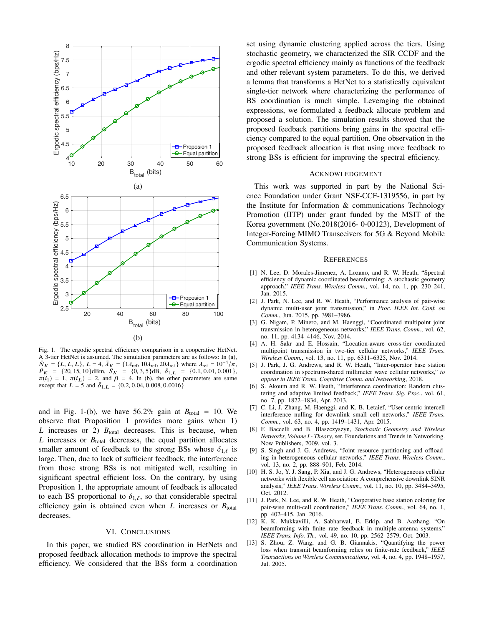

Fig. 1. The ergodic spectral efficiency comparison in a cooperative HetNet. A 3-tier HetNet is assumed. The simulation parameters are as follows: In (a),  $\overline{N}_K = \{L, L, L\}, L = 4, \overline{\lambda}_K = \{1\lambda_{\text{ref}}, 10\lambda_{\text{ref}}, 20\lambda_{\text{ref}}\}$  where  $\lambda_{\text{ref}} = 10^{-4}/\pi$ ,  $\overline{P_K}$  = {20, 15, 10}dBm,  $\overline{S_K}$  = {0, 3, 5}dB,  $\overline{\delta_{1,L}}$  = {0.1, 0.01, 0.001},  $\pi(i_1) = 1$ ,  $\pi(i_2) = 2$ , and  $\beta = 4$ . In (b), the other parameters are same except that  $L = 5$  and  $\bar{\delta}_{1,L} = \{0.2, 0.04, 0.008, 0.0016\}.$ 

and in Fig. 1-(b), we have  $56.2\%$  gain at  $B_{\text{total}} = 10$ . We observe that Proposition 1 provides more gains when 1)  $L$  increases or 2)  $B_{total}$  decreases. This is because, when *L* increases or  $B_{\text{total}}$  decreases, the equal partition allocates smaller amount of feedback to the strong BSs whose  $\delta_{1,\ell}$  is large. Then, due to lack of sufficient feedback, the interference from those strong BSs is not mitigated well, resulting in significant spectral efficient loss. On the contrary, by using Proposition 1, the appropriate amount of feedback is allocated to each BS proportional to  $\delta_{1,\ell}$ , so that considerable spectral efficiency gain is obtained even when  $L$  increases or  $B_{total}$ decreases.

#### VI. CONCLUSIONS

In this paper, we studied BS coordination in HetNets and proposed feedback allocation methods to improve the spectral efficiency. We considered that the BSs form a coordination set using dynamic clustering applied across the tiers. Using stochastic geometry, we characterized the SIR CCDF and the ergodic spectral efficiency mainly as functions of the feedback and other relevant system parameters. To do this, we derived a lemma that transforms a HetNet to a statistically equivalent single-tier network where characterizing the performance of BS coordination is much simple. Leveraging the obtained expressions, we formulated a feedback allocate problem and proposed a solution. The simulation results showed that the proposed feedback partitions bring gains in the spectral efficiency compared to the equal partition. One observation in the proposed feedback allocation is that using more feedback to strong BSs is efficient for improving the spectral efficiency.

## ACKNOWLEDGEMENT

This work was supported in part by the National Science Foundation under Grant NSF-CCF-1319556, in part by the Institute for Information & communications Technology Promotion (IITP) under grant funded by the MSIT of the Korea government (No.2018(2016- 0-00123), Development of Integer-Forcing MIMO Transceivers for 5G & Beyond Mobile Communication Systems.

#### **REFERENCES**

- [1] N. Lee, D. Morales-Jimenez, A. Lozano, and R. W. Heath, "Spectral efficiency of dynamic coordinated beamforming: A stochastic geometry approach," *IEEE Trans. Wireless Comm.*, vol. 14, no. 1, pp. 230–241, Jan. 2015.
- [2] J. Park, N. Lee, and R. W. Heath, "Performance analysis of pair-wise dynamic multi-user joint transmission," in *Proc. IEEE Int. Conf. on Comm.*, Jun. 2015, pp. 3981–3986.
- [3] G. Nigam, P. Minero, and M. Haenggi, "Coordinated multipoint joint transmission in heterogeneous networks," *IEEE Trans. Comm.*, vol. 62, no. 11, pp. 4134–4146, Nov. 2014.
- [4] A. H. Sakr and E. Hossain, "Location-aware cross-tier coordinated multipoint transmission in two-tier cellular networks," *IEEE Trans. Wireless Comm.*, vol. 13, no. 11, pp. 6311–6325, Nov. 2014.
- [5] J. Park, J. G. Andrews, and R. W. Heath, "Inter-operator base station coordination in spectrum-shared millimeter wave cellular networks," *to appear in IEEE Trans. Cognitive Comm. and Networking*, 2018.
- [6] S. Akoum and R. W. Heath, "Interference coordination: Random clustering and adaptive limited feedback," *IEEE Trans. Sig. Proc.*, vol. 61, no. 7, pp. 1822–1834, Apr. 2013.
- [7] C. Li, J. Zhang, M. Haenggi, and K. B. Letaief, "User-centric intercell interference nulling for downlink small cell networks," *IEEE Trans. Comm.*, vol. 63, no. 4, pp. 1419–1431, Apr. 2015.
- [8] F. Baccelli and B. Blaszczyszyn, *Stochastic Geometry and Wireless Networks, Volume I - Theory*, ser. Foundations and Trends in Networking. Now Publishers, 2009, vol. 3.
- [9] S. Singh and J. G. Andrews, "Joint resource partitioning and offloading in heterogeneous cellular networks," *IEEE Trans. Wireless Comm.*, vol. 13, no. 2, pp. 888–901, Feb. 2014.
- [10] H. S. Jo, Y. J. Sang, P. Xia, and J. G. Andrews, "Heterogeneous cellular networks with flexible cell association: A comprehensive downlink SINR analysis," *IEEE Trans. Wireless Comm.*, vol. 11, no. 10, pp. 3484–3495, Oct. 2012.
- [11] J. Park, N. Lee, and R. W. Heath, "Cooperative base station coloring for pair-wise multi-cell coordination," *IEEE Trans. Comm.*, vol. 64, no. 1, pp. 402–415, Jan. 2016.
- [12] K. K. Mukkavilli, A. Sabharwal, E. Erkip, and B. Aazhang, "On beamforming with finite rate feedback in multiple-antenna systems," *IEEE Trans. Info. Th.*, vol. 49, no. 10, pp. 2562–2579, Oct. 2003.
- [13] S. Zhou, Z. Wang, and G. B. Giannakis, "Quantifying the power loss when transmit beamforming relies on finite-rate feedback," *IEEE Transactions on Wireless Communications*, vol. 4, no. 4, pp. 1948–1957, Jul. 2005.